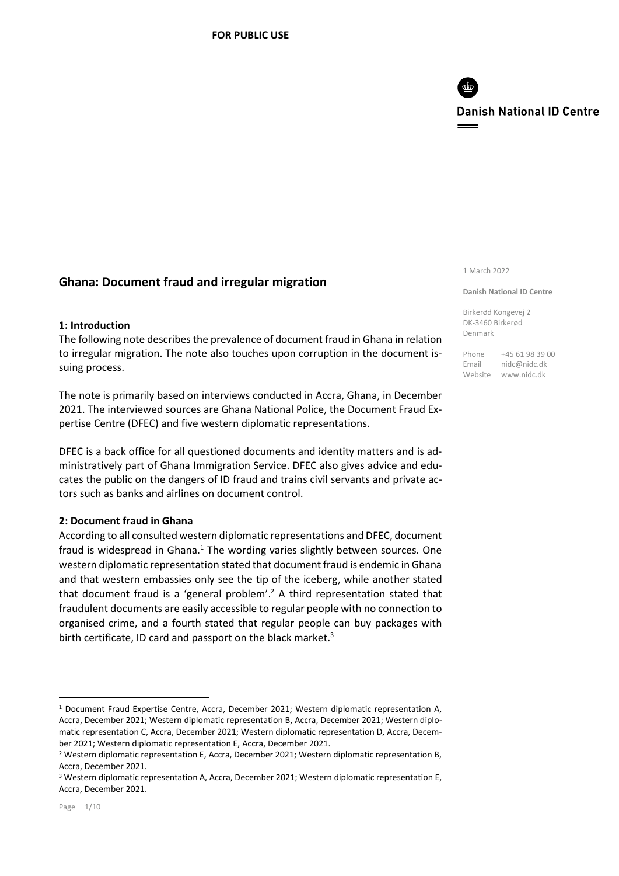

# **Ghana: Document fraud and irregular migration**

#### **1: Introduction**

The following note describes the prevalence of document fraud in Ghana in relation to irregular migration. The note also touches upon corruption in the document issuing process.

The note is primarily based on interviews conducted in Accra, Ghana, in December 2021. The interviewed sources are Ghana National Police, the Document Fraud Expertise Centre (DFEC) and five western diplomatic representations.

DFEC is a back office for all questioned documents and identity matters and is administratively part of Ghana Immigration Service. DFEC also gives advice and educates the public on the dangers of ID fraud and trains civil servants and private actors such as banks and airlines on document control.

#### **2: Document fraud in Ghana**

According to all consulted western diplomatic representations and DFEC, document fraud is widespread in Ghana. $<sup>1</sup>$  The wording varies slightly between sources. One</sup> western diplomatic representation stated that document fraud is endemic in Ghana and that western embassies only see the tip of the iceberg, while another stated that document fraud is a 'general problem'.<sup>2</sup> A third representation stated that fraudulent documents are easily accessible to regular people with no connection to organised crime, and a fourth stated that regular people can buy packages with birth certificate, ID card and passport on the black market.<sup>3</sup>

#### 1 March 2022

#### **Danish National ID Centre**

Birkerød Kongevej 2 DK-3460 Birkerød Denmark

Phone +45 61 98 39 00 Email nidc@nidc.dk Website www.nidc.dk

<sup>&</sup>lt;sup>1</sup> Document Fraud Expertise Centre, Accra, December 2021; Western diplomatic representation A, Accra, December 2021; Western diplomatic representation B, Accra, December 2021; Western diplomatic representation C, Accra, December 2021; Western diplomatic representation D, Accra, December 2021; Western diplomatic representation E, Accra, December 2021.

<sup>&</sup>lt;sup>2</sup> Western diplomatic representation E, Accra, December 2021; Western diplomatic representation B, Accra, December 2021.

<sup>3</sup> Western diplomatic representation A, Accra, December 2021; Western diplomatic representation E, Accra, December 2021.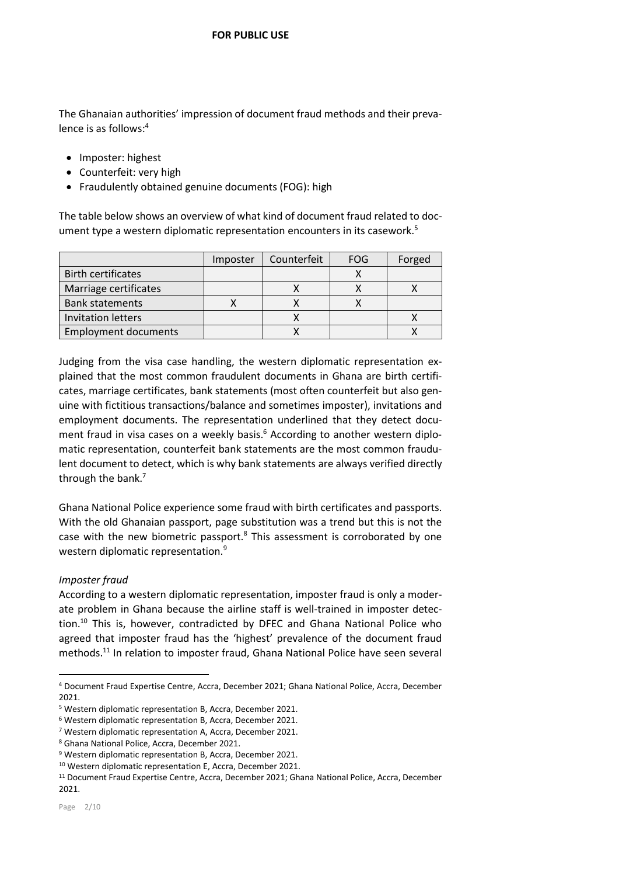The Ghanaian authorities' impression of document fraud methods and their prevalence is as follows:<sup>4</sup>

- Imposter: highest
- Counterfeit: very high
- Fraudulently obtained genuine documents (FOG): high

The table below shows an overview of what kind of document fraud related to document type a western diplomatic representation encounters in its casework.<sup>5</sup>

|                             | Imposter | Counterfeit | <b>FOG</b> | Forged |
|-----------------------------|----------|-------------|------------|--------|
| <b>Birth certificates</b>   |          |             |            |        |
| Marriage certificates       |          |             |            |        |
| <b>Bank statements</b>      |          |             |            |        |
| Invitation letters          |          |             |            |        |
| <b>Employment documents</b> |          |             |            |        |

Judging from the visa case handling, the western diplomatic representation explained that the most common fraudulent documents in Ghana are birth certificates, marriage certificates, bank statements (most often counterfeit but also genuine with fictitious transactions/balance and sometimes imposter), invitations and employment documents. The representation underlined that they detect document fraud in visa cases on a weekly basis. $6$  According to another western diplomatic representation, counterfeit bank statements are the most common fraudulent document to detect, which is why bank statements are always verified directly through the bank. 7

Ghana National Police experience some fraud with birth certificates and passports. With the old Ghanaian passport, page substitution was a trend but this is not the case with the new biometric passport.<sup>8</sup> This assessment is corroborated by one western diplomatic representation.<sup>9</sup>

## *Imposter fraud*

According to a western diplomatic representation, imposter fraud is only a moderate problem in Ghana because the airline staff is well-trained in imposter detection.<sup>10</sup> This is, however, contradicted by DFEC and Ghana National Police who agreed that imposter fraud has the 'highest' prevalence of the document fraud methods.<sup>11</sup> In relation to imposter fraud, Ghana National Police have seen several

 $\overline{a}$ 

<sup>4</sup> Document Fraud Expertise Centre, Accra, December 2021; Ghana National Police, Accra, December 2021.

<sup>5</sup> Western diplomatic representation B, Accra, December 2021.

<sup>6</sup> Western diplomatic representation B, Accra, December 2021.

<sup>7</sup> Western diplomatic representation A, Accra, December 2021.

<sup>8</sup> Ghana National Police, Accra, December 2021.

<sup>9</sup> Western diplomatic representation B, Accra, December 2021.

<sup>10</sup> Western diplomatic representation E, Accra, December 2021.

<sup>11</sup> Document Fraud Expertise Centre, Accra, December 2021; Ghana National Police, Accra, December 2021.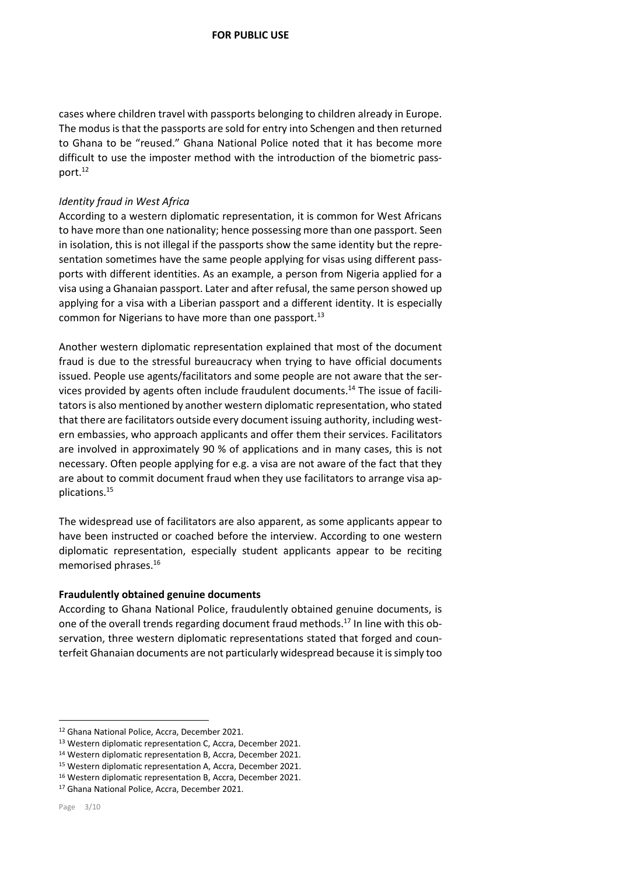cases where children travel with passports belonging to children already in Europe. The modus is that the passports are sold for entry into Schengen and then returned to Ghana to be "reused." Ghana National Police noted that it has become more difficult to use the imposter method with the introduction of the biometric passport.<sup>12</sup>

### *Identity fraud in West Africa*

According to a western diplomatic representation, it is common for West Africans to have more than one nationality; hence possessing more than one passport. Seen in isolation, this is not illegal if the passports show the same identity but the representation sometimes have the same people applying for visas using different passports with different identities. As an example, a person from Nigeria applied for a visa using a Ghanaian passport. Later and after refusal, the same person showed up applying for a visa with a Liberian passport and a different identity. It is especially common for Nigerians to have more than one passport.<sup>13</sup>

Another western diplomatic representation explained that most of the document fraud is due to the stressful bureaucracy when trying to have official documents issued. People use agents/facilitators and some people are not aware that the services provided by agents often include fraudulent documents. <sup>14</sup> The issue of facilitators is also mentioned by another western diplomatic representation, who stated that there are facilitators outside every document issuing authority, including western embassies, who approach applicants and offer them their services. Facilitators are involved in approximately 90 % of applications and in many cases, this is not necessary. Often people applying for e.g. a visa are not aware of the fact that they are about to commit document fraud when they use facilitators to arrange visa applications. 15

The widespread use of facilitators are also apparent, as some applicants appear to have been instructed or coached before the interview. According to one western diplomatic representation, especially student applicants appear to be reciting memorised phrases.<sup>16</sup>

#### **Fraudulently obtained genuine documents**

According to Ghana National Police, fraudulently obtained genuine documents, is one of the overall trends regarding document fraud methods.<sup>17</sup> In line with this observation, three western diplomatic representations stated that forged and counterfeit Ghanaian documents are not particularly widespread because it is simply too

<sup>12</sup> Ghana National Police, Accra, December 2021.

<sup>13</sup> Western diplomatic representation C, Accra, December 2021.

<sup>14</sup> Western diplomatic representation B, Accra, December 2021.

<sup>15</sup> Western diplomatic representation A, Accra, December 2021.

<sup>16</sup> Western diplomatic representation B, Accra, December 2021.

<sup>17</sup> Ghana National Police, Accra, December 2021.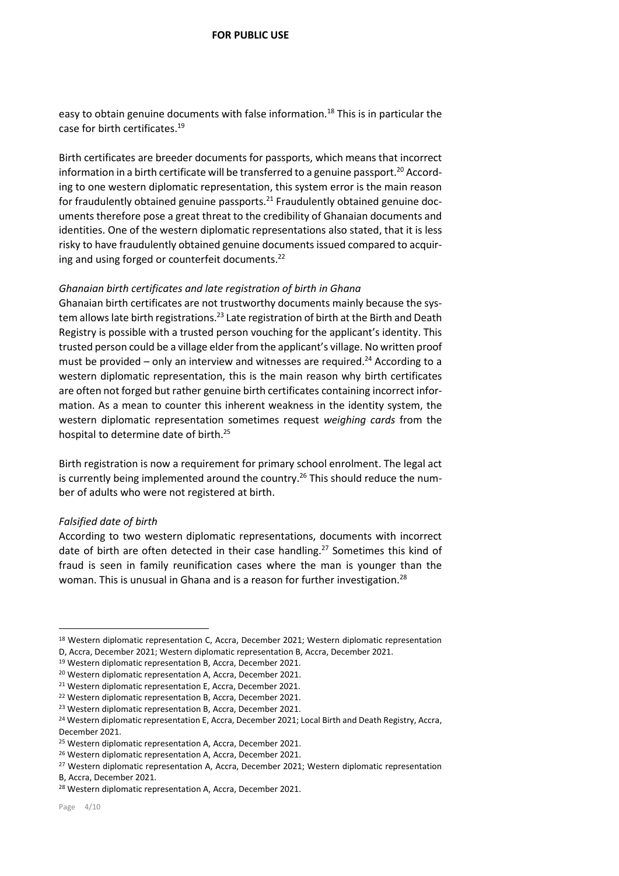easy to obtain genuine documents with false information.<sup>18</sup> This is in particular the case for birth certificates. 19

Birth certificates are breeder documents for passports, which means that incorrect information in a birth certificate will be transferred to a genuine passport.<sup>20</sup> According to one western diplomatic representation, this system error is the main reason for fraudulently obtained genuine passports. $^{21}$  Fraudulently obtained genuine documents therefore pose a great threat to the credibility of Ghanaian documents and identities. One of the western diplomatic representations also stated, that it is less risky to have fraudulently obtained genuine documents issued compared to acquiring and using forged or counterfeit documents.<sup>22</sup>

### *Ghanaian birth certificates and late registration of birth in Ghana*

Ghanaian birth certificates are not trustworthy documents mainly because the system allows late birth registrations.<sup>23</sup> Late registration of birth at the Birth and Death Registry is possible with a trusted person vouching for the applicant's identity. This trusted person could be a village elder from the applicant's village. No written proof must be provided – only an interview and witnesses are required.<sup>24</sup> According to a western diplomatic representation, this is the main reason why birth certificates are often not forged but rather genuine birth certificates containing incorrect information. As a mean to counter this inherent weakness in the identity system, the western diplomatic representation sometimes request *weighing cards* from the hospital to determine date of birth. 25

Birth registration is now a requirement for primary school enrolment. The legal act is currently being implemented around the country.<sup>26</sup> This should reduce the number of adults who were not registered at birth.

#### *Falsified date of birth*

According to two western diplomatic representations, documents with incorrect date of birth are often detected in their case handling.<sup>27</sup> Sometimes this kind of fraud is seen in family reunification cases where the man is younger than the woman. This is unusual in Ghana and is a reason for further investigation.<sup>28</sup>

1

<sup>&</sup>lt;sup>18</sup> Western diplomatic representation C, Accra, December 2021; Western diplomatic representation

D, Accra, December 2021; Western diplomatic representation B, Accra, December 2021.

<sup>19</sup> Western diplomatic representation B, Accra, December 2021.

<sup>20</sup> Western diplomatic representation A, Accra, December 2021.

<sup>21</sup> Western diplomatic representation E, Accra, December 2021.

<sup>22</sup> Western diplomatic representation B, Accra, December 2021.

<sup>23</sup> Western diplomatic representation B, Accra, December 2021.

<sup>&</sup>lt;sup>24</sup> Western diplomatic representation E, Accra, December 2021; Local Birth and Death Registry, Accra, December 2021.

<sup>&</sup>lt;sup>25</sup> Western diplomatic representation A, Accra, December 2021.

<sup>&</sup>lt;sup>26</sup> Western diplomatic representation A, Accra, December 2021.

<sup>&</sup>lt;sup>27</sup> Western diplomatic representation A, Accra, December 2021; Western diplomatic representation

B, Accra, December 2021.

<sup>28</sup> Western diplomatic representation A, Accra, December 2021.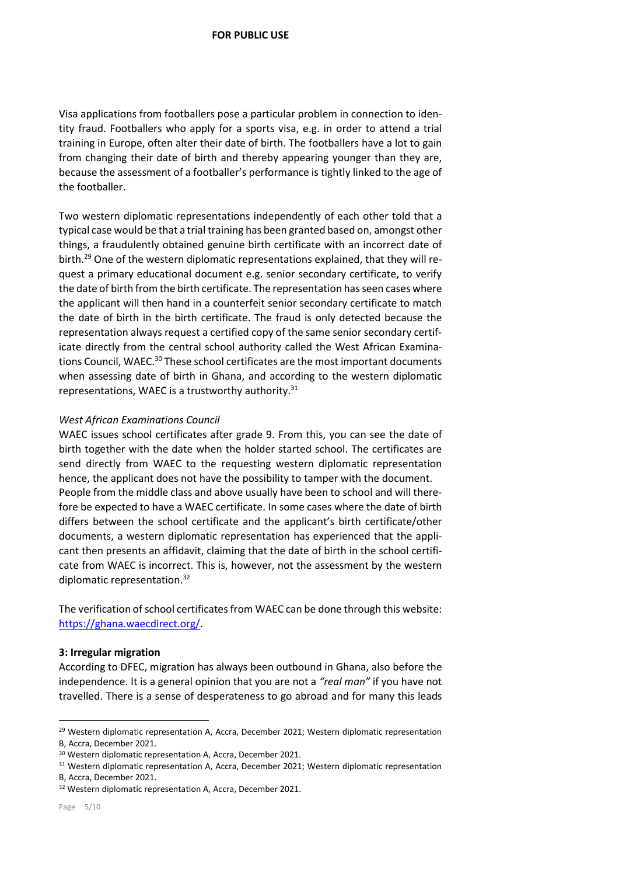Visa applications from footballers pose a particular problem in connection to identity fraud. Footballers who apply for a sports visa, e.g. in order to attend a trial training in Europe, often alter their date of birth. The footballers have a lot to gain from changing their date of birth and thereby appearing younger than they are, because the assessment of a footballer's performance is tightly linked to the age of the footballer.

Two western diplomatic representations independently of each other told that a typical case would be that a trial training has been granted based on, amongst other things, a fraudulently obtained genuine birth certificate with an incorrect date of birth.<sup>29</sup> One of the western diplomatic representations explained, that they will request a primary educational document e.g. senior secondary certificate, to verify the date of birth from the birth certificate. The representation has seen cases where the applicant will then hand in a counterfeit senior secondary certificate to match the date of birth in the birth certificate. The fraud is only detected because the representation always request a certified copy of the same senior secondary certificate directly from the central school authority called the West African Examinations Council, WAEC.<sup>30</sup> These school certificates are the most important documents when assessing date of birth in Ghana, and according to the western diplomatic representations, WAEC is a trustworthy authority.<sup>31</sup>

## *West African Examinations Council*

WAEC issues school certificates after grade 9. From this, you can see the date of birth together with the date when the holder started school. The certificates are send directly from WAEC to the requesting western diplomatic representation hence, the applicant does not have the possibility to tamper with the document. People from the middle class and above usually have been to school and will therefore be expected to have a WAEC certificate. In some cases where the date of birth differs between the school certificate and the applicant's birth certificate/other documents, a western diplomatic representation has experienced that the applicant then presents an affidavit, claiming that the date of birth in the school certificate from WAEC is incorrect. This is, however, not the assessment by the western diplomatic representation. 32

The verification of school certificates from WAEC can be done through this website: [https://ghana.waecdirect.org/.](https://ghana.waecdirect.org/)

#### **3: Irregular migration**

According to DFEC, migration has always been outbound in Ghana, also before the independence. It is a general opinion that you are not a *"real man"* if you have not travelled. There is a sense of desperateness to go abroad and for many this leads

<sup>&</sup>lt;sup>29</sup> Western diplomatic representation A, Accra, December 2021; Western diplomatic representation B, Accra, December 2021.

<sup>30</sup> Western diplomatic representation A, Accra, December 2021.

<sup>&</sup>lt;sup>31</sup> Western diplomatic representation A, Accra, December 2021; Western diplomatic representation B, Accra, December 2021.

<sup>32</sup> Western diplomatic representation A, Accra, December 2021.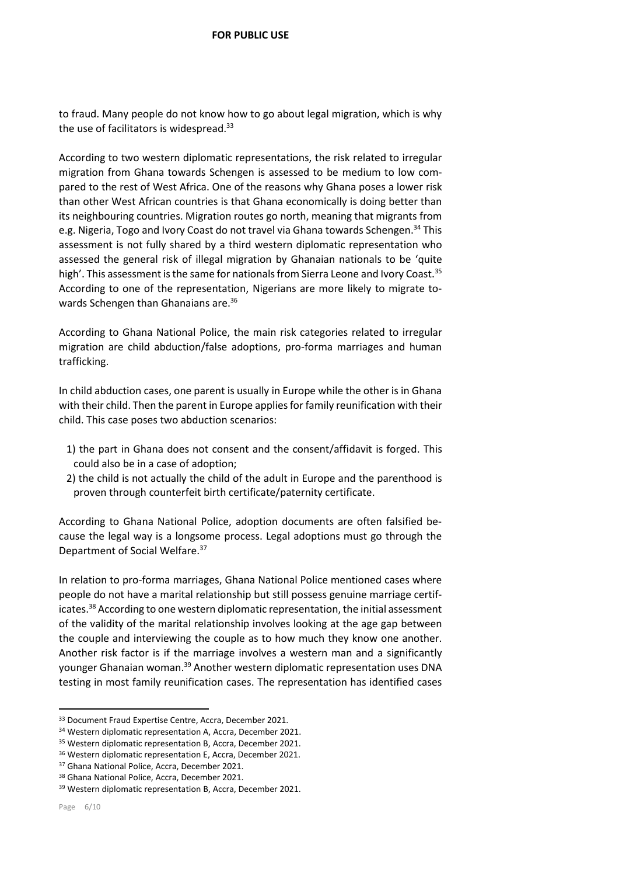to fraud. Many people do not know how to go about legal migration, which is why the use of facilitators is widespread.<sup>33</sup>

According to two western diplomatic representations, the risk related to irregular migration from Ghana towards Schengen is assessed to be medium to low compared to the rest of West Africa. One of the reasons why Ghana poses a lower risk than other West African countries is that Ghana economically is doing better than its neighbouring countries. Migration routes go north, meaning that migrants from e.g. Nigeria, Togo and Ivory Coast do not travel via Ghana towards Schengen.<sup>34</sup> This assessment is not fully shared by a third western diplomatic representation who assessed the general risk of illegal migration by Ghanaian nationals to be 'quite high'. This assessment is the same for nationals from Sierra Leone and Ivory Coast.<sup>35</sup> According to one of the representation, Nigerians are more likely to migrate towards Schengen than Ghanaians are.<sup>36</sup>

According to Ghana National Police, the main risk categories related to irregular migration are child abduction/false adoptions, pro-forma marriages and human trafficking.

In child abduction cases, one parent is usually in Europe while the other is in Ghana with their child. Then the parent in Europe applies for family reunification with their child. This case poses two abduction scenarios:

- 1) the part in Ghana does not consent and the consent/affidavit is forged. This could also be in a case of adoption;
- 2) the child is not actually the child of the adult in Europe and the parenthood is proven through counterfeit birth certificate/paternity certificate.

According to Ghana National Police, adoption documents are often falsified because the legal way is a longsome process. Legal adoptions must go through the Department of Social Welfare.<sup>37</sup>

In relation to pro-forma marriages, Ghana National Police mentioned cases where people do not have a marital relationship but still possess genuine marriage certificates. <sup>38</sup> According to one western diplomatic representation, the initial assessment of the validity of the marital relationship involves looking at the age gap between the couple and interviewing the couple as to how much they know one another. Another risk factor is if the marriage involves a western man and a significantly younger Ghanaian woman. <sup>39</sup> Another western diplomatic representation uses DNA testing in most family reunification cases. The representation has identified cases

 $\overline{a}$ 

<sup>33</sup> Document Fraud Expertise Centre, Accra, December 2021.

<sup>34</sup> Western diplomatic representation A, Accra, December 2021.

<sup>&</sup>lt;sup>35</sup> Western diplomatic representation B, Accra, December 2021.

<sup>36</sup> Western diplomatic representation E, Accra, December 2021.

<sup>37</sup> Ghana National Police, Accra, December 2021.

<sup>38</sup> Ghana National Police, Accra, December 2021.

<sup>39</sup> Western diplomatic representation B, Accra, December 2021.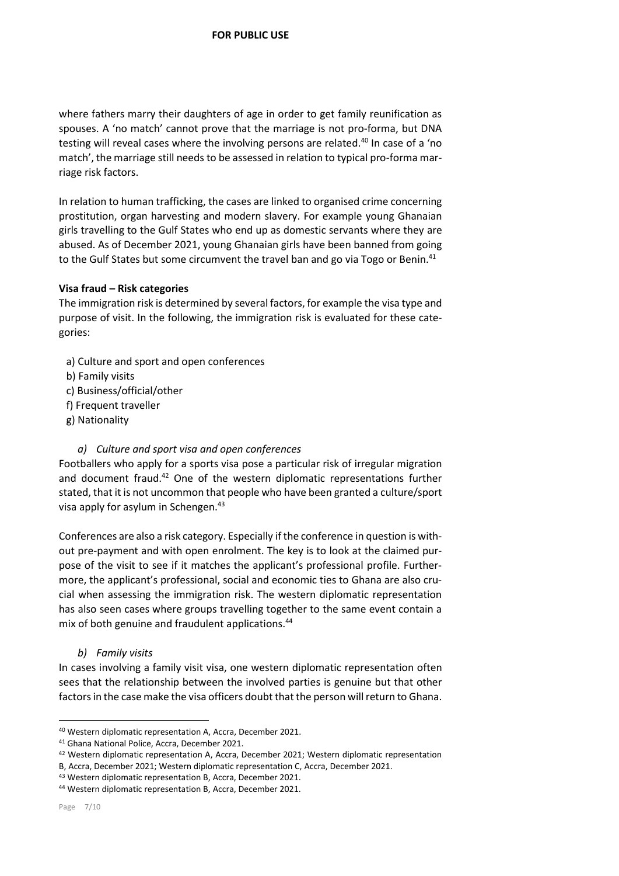where fathers marry their daughters of age in order to get family reunification as spouses. A 'no match' cannot prove that the marriage is not pro-forma, but DNA testing will reveal cases where the involving persons are related.<sup>40</sup> In case of a 'no match', the marriage still needs to be assessed in relation to typical pro-forma marriage risk factors.

In relation to human trafficking, the cases are linked to organised crime concerning prostitution, organ harvesting and modern slavery. For example young Ghanaian girls travelling to the Gulf States who end up as domestic servants where they are abused. As of December 2021, young Ghanaian girls have been banned from going to the Gulf States but some circumvent the travel ban and go via Togo or Benin.<sup>41</sup>

## **Visa fraud – Risk categories**

The immigration risk is determined by several factors, for example the visa type and purpose of visit. In the following, the immigration risk is evaluated for these categories:

- a) Culture and sport and open conferences
- b) Family visits
- c) Business/official/other
- f) Frequent traveller
- g) Nationality

## *a) Culture and sport visa and open conferences*

Footballers who apply for a sports visa pose a particular risk of irregular migration and document fraud.<sup>42</sup> One of the western diplomatic representations further stated, that it is not uncommon that people who have been granted a culture/sport visa apply for asylum in Schengen.<sup>43</sup>

Conferences are also a risk category. Especially if the conference in question is without pre-payment and with open enrolment. The key is to look at the claimed purpose of the visit to see if it matches the applicant's professional profile. Furthermore, the applicant's professional, social and economic ties to Ghana are also crucial when assessing the immigration risk. The western diplomatic representation has also seen cases where groups travelling together to the same event contain a mix of both genuine and fraudulent applications.<sup>44</sup>

*b) Family visits*

In cases involving a family visit visa, one western diplomatic representation often sees that the relationship between the involved parties is genuine but that other factors in the case make the visa officers doubt that the person will return to Ghana.

<sup>40</sup> Western diplomatic representation A, Accra, December 2021.

<sup>41</sup> Ghana National Police, Accra, December 2021.

<sup>42</sup> Western diplomatic representation A, Accra, December 2021; Western diplomatic representation B, Accra, December 2021; Western diplomatic representation C, Accra, December 2021.

<sup>43</sup> Western diplomatic representation B, Accra, December 2021.

<sup>44</sup> Western diplomatic representation B, Accra, December 2021.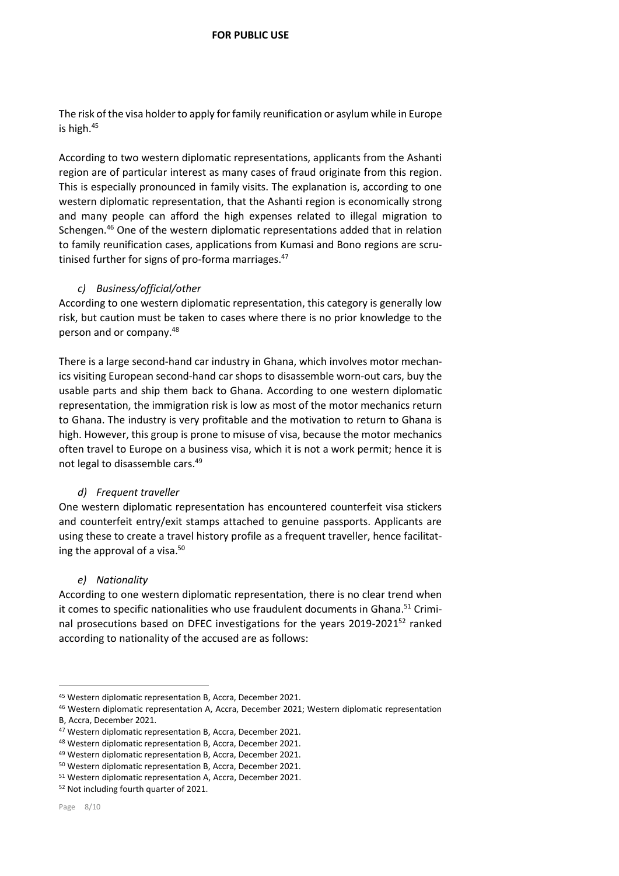The risk of the visa holder to apply for family reunification or asylum while in Europe is high.<sup>45</sup>

According to two western diplomatic representations, applicants from the Ashanti region are of particular interest as many cases of fraud originate from this region. This is especially pronounced in family visits. The explanation is, according to one western diplomatic representation, that the Ashanti region is economically strong and many people can afford the high expenses related to illegal migration to Schengen. <sup>46</sup> One of the western diplomatic representations added that in relation to family reunification cases, applications from Kumasi and Bono regions are scrutinised further for signs of pro-forma marriages.<sup>47</sup>

## *c) Business/official/other*

According to one western diplomatic representation, this category is generally low risk, but caution must be taken to cases where there is no prior knowledge to the person and or company.<sup>48</sup>

There is a large second-hand car industry in Ghana, which involves motor mechanics visiting European second-hand car shops to disassemble worn-out cars, buy the usable parts and ship them back to Ghana. According to one western diplomatic representation, the immigration risk is low as most of the motor mechanics return to Ghana. The industry is very profitable and the motivation to return to Ghana is high. However, this group is prone to misuse of visa, because the motor mechanics often travel to Europe on a business visa, which it is not a work permit; hence it is not legal to disassemble cars.<sup>49</sup>

## *d) Frequent traveller*

One western diplomatic representation has encountered counterfeit visa stickers and counterfeit entry/exit stamps attached to genuine passports. Applicants are using these to create a travel history profile as a frequent traveller, hence facilitating the approval of a visa.<sup>50</sup>

## *e) Nationality*

According to one western diplomatic representation, there is no clear trend when it comes to specific nationalities who use fraudulent documents in Ghana.<sup>51</sup> Criminal prosecutions based on DFEC investigations for the years 2019-2021<sup>52</sup> ranked according to nationality of the accused are as follows:

<sup>45</sup> Western diplomatic representation B, Accra, December 2021.

<sup>46</sup> Western diplomatic representation A, Accra, December 2021; Western diplomatic representation B, Accra, December 2021.

<sup>47</sup> Western diplomatic representation B, Accra, December 2021.

<sup>48</sup> Western diplomatic representation B, Accra, December 2021.

<sup>49</sup> Western diplomatic representation B, Accra, December 2021.

<sup>50</sup> Western diplomatic representation B, Accra, December 2021.

<sup>51</sup> Western diplomatic representation A, Accra, December 2021.

<sup>52</sup> Not including fourth quarter of 2021.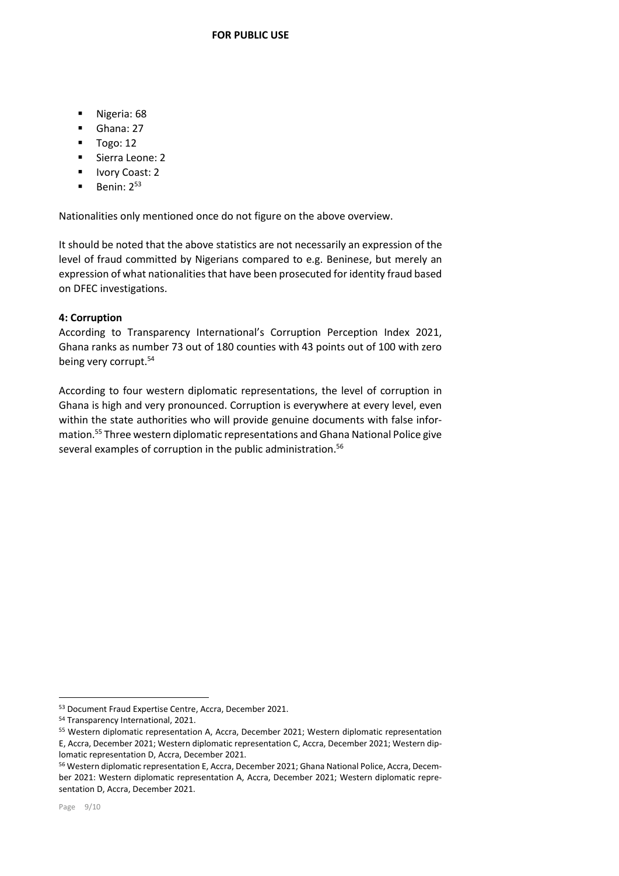- **Nigeria: 68**
- Ghana: 27
- $\blacksquare$  Togo: 12
- Sierra Leone: 2
- **Ivory Coast: 2**
- $\blacksquare$  Benin:  $2^{53}$

Nationalities only mentioned once do not figure on the above overview.

It should be noted that the above statistics are not necessarily an expression of the level of fraud committed by Nigerians compared to e.g. Beninese, but merely an expression of what nationalities that have been prosecuted for identity fraud based on DFEC investigations.

# **4: Corruption**

According to Transparency International's Corruption Perception Index 2021, Ghana ranks as number 73 out of 180 counties with 43 points out of 100 with zero being very corrupt.<sup>54</sup>

According to four western diplomatic representations, the level of corruption in Ghana is high and very pronounced. Corruption is everywhere at every level, even within the state authorities who will provide genuine documents with false information.<sup>55</sup> Three western diplomatic representations and Ghana National Police give several examples of corruption in the public administration.<sup>56</sup>

<sup>53</sup> Document Fraud Expertise Centre, Accra, December 2021.

<sup>54</sup> Transparency International, 2021.

<sup>55</sup> Western diplomatic representation A, Accra, December 2021; Western diplomatic representation E, Accra, December 2021; Western diplomatic representation C, Accra, December 2021; Western diplomatic representation D, Accra, December 2021.

<sup>56</sup> Western diplomatic representation E, Accra, December 2021; Ghana National Police, Accra, December 2021: Western diplomatic representation A, Accra, December 2021; Western diplomatic representation D, Accra, December 2021.